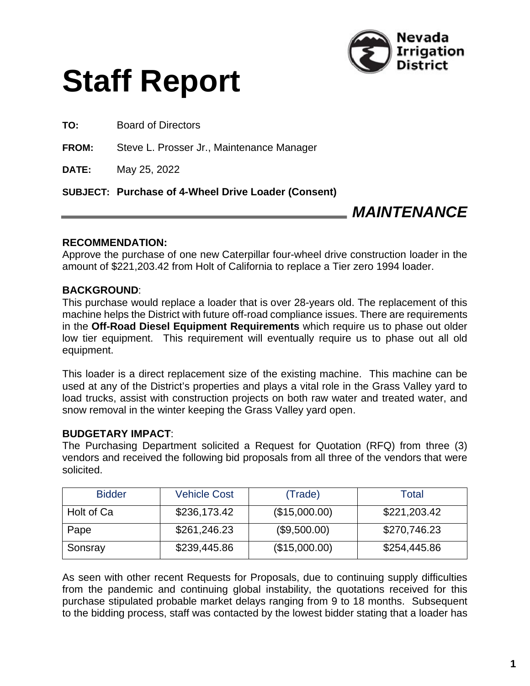



**TO:** Board of Directors

**FROM:** Steve L. Prosser Jr., Maintenance Manager

**DATE:** May 25, 2022

**SUBJECT: Purchase of 4-Wheel Drive Loader (Consent)**

# *MAINTENANCE*

#### **RECOMMENDATION:**

Approve the purchase of one new Caterpillar four-wheel drive construction loader in the amount of \$221,203.42 from Holt of California to replace a Tier zero 1994 loader.

## **BACKGROUND**:

This purchase would replace a loader that is over 28-years old. The replacement of this machine helps the District with future off-road compliance issues. There are requirements in the **Off-Road Diesel Equipment Requirements** which require us to phase out older low tier equipment. This requirement will eventually require us to phase out all old equipment.

This loader is a direct replacement size of the existing machine. This machine can be used at any of the District's properties and plays a vital role in the Grass Valley yard to load trucks, assist with construction projects on both raw water and treated water, and snow removal in the winter keeping the Grass Valley yard open.

#### **BUDGETARY IMPACT**:

The Purchasing Department solicited a Request for Quotation (RFQ) from three (3) vendors and received the following bid proposals from all three of the vendors that were solicited.

| <b>Bidder</b> | <b>Vehicle Cost</b> | (Trade)       | Total        |
|---------------|---------------------|---------------|--------------|
| Holt of Ca    | \$236,173.42        | (\$15,000.00) | \$221,203.42 |
| Pape          | \$261,246.23        | (\$9,500.00)  | \$270,746.23 |
| Sonsray       | \$239,445.86        | (\$15,000.00) | \$254,445.86 |

As seen with other recent Requests for Proposals, due to continuing supply difficulties from the pandemic and continuing global instability, the quotations received for this purchase stipulated probable market delays ranging from 9 to 18 months. Subsequent to the bidding process, staff was contacted by the lowest bidder stating that a loader has